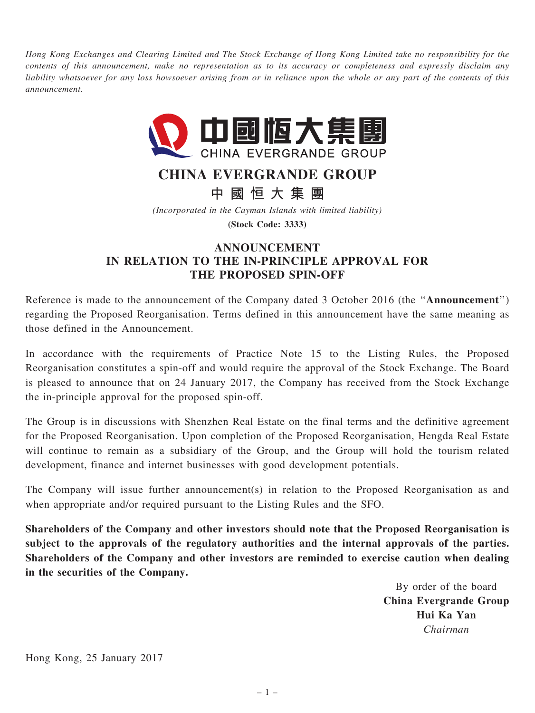Hong Kong Exchanges and Clearing Limited and The Stock Exchange of Hong Kong Limited take no responsibility for the contents of this announcement, make no representation as to its accuracy or completeness and expressly disclaim any liability whatsoever for any loss howsoever arising from or in reliance upon the whole or any part of the contents of this announcement.



## CHINA EVERGRANDE GROUP

中 國 恒 大 集 團

(Incorporated in the Cayman Islands with limited liability) (Stock Code: 3333)

## ANNOUNCEMENT IN RELATION TO THE IN-PRINCIPLE APPROVAL FOR THE PROPOSED SPIN-OFF

Reference is made to the announcement of the Company dated 3 October 2016 (the ''Announcement'') regarding the Proposed Reorganisation. Terms defined in this announcement have the same meaning as those defined in the Announcement.

In accordance with the requirements of Practice Note 15 to the Listing Rules, the Proposed Reorganisation constitutes a spin-off and would require the approval of the Stock Exchange. The Board is pleased to announce that on 24 January 2017, the Company has received from the Stock Exchange the in-principle approval for the proposed spin-off.

The Group is in discussions with Shenzhen Real Estate on the final terms and the definitive agreement for the Proposed Reorganisation. Upon completion of the Proposed Reorganisation, Hengda Real Estate will continue to remain as a subsidiary of the Group, and the Group will hold the tourism related development, finance and internet businesses with good development potentials.

The Company will issue further announcement(s) in relation to the Proposed Reorganisation as and when appropriate and/or required pursuant to the Listing Rules and the SFO.

Shareholders of the Company and other investors should note that the Proposed Reorganisation is subject to the approvals of the regulatory authorities and the internal approvals of the parties. Shareholders of the Company and other investors are reminded to exercise caution when dealing in the securities of the Company.

> By order of the board China Evergrande Group Hui Ka Yan Chairman

Hong Kong, 25 January 2017